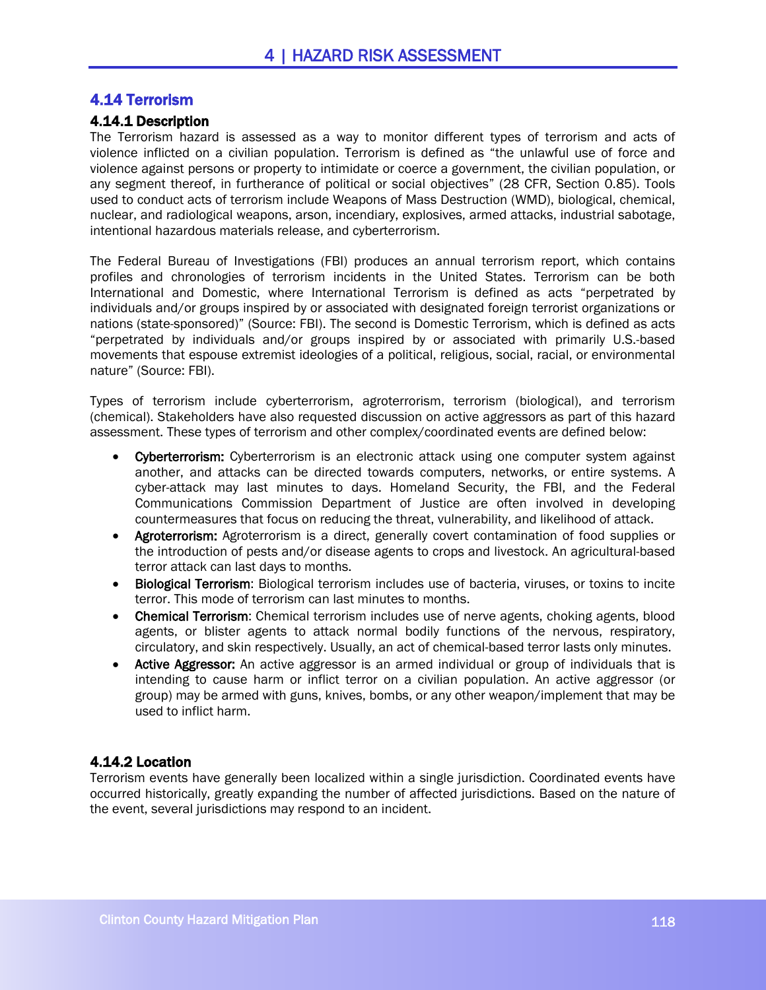# 4.14 Terrorism

### 4.14.1 Description

The Terrorism hazard is assessed as a way to monitor different types of terrorism and acts of violence inflicted on a civilian population. Terrorism is defined as "the unlawful use of force and violence against persons or property to intimidate or coerce a government, the civilian population, or any segment thereof, in furtherance of political or social objectives" (28 CFR, Section 0.85). Tools used to conduct acts of terrorism include Weapons of Mass Destruction (WMD), biological, chemical, nuclear, and radiological weapons, arson, incendiary, explosives, armed attacks, industrial sabotage, intentional hazardous materials release, and cyberterrorism.

The Federal Bureau of Investigations (FBI) produces an annual terrorism report, which contains profiles and chronologies of terrorism incidents in the United States. Terrorism can be both International and Domestic, where International Terrorism is defined as acts "perpetrated by individuals and/or groups inspired by or associated with designated foreign terrorist organizations or nations (state-sponsored)" (Source: FBI). The second is Domestic Terrorism, which is defined as acts "perpetrated by individuals and/or groups inspired by or associated with primarily U.S.-based movements that espouse extremist ideologies of a political, religious, social, racial, or environmental nature" (Source: FBI).

Types of terrorism include cyberterrorism, agroterrorism, terrorism (biological), and terrorism (chemical). Stakeholders have also requested discussion on active aggressors as part of this hazard assessment. These types of terrorism and other complex/coordinated events are defined below:

- Cyberterrorism: Cyberterrorism is an electronic attack using one computer system against another, and attacks can be directed towards computers, networks, or entire systems. A cyber-attack may last minutes to days. Homeland Security, the FBI, and the Federal Communications Commission Department of Justice are often involved in developing countermeasures that focus on reducing the threat, vulnerability, and likelihood of attack.
- Agroterrorism: Agroterrorism is a direct, generally covert contamination of food supplies or the introduction of pests and/or disease agents to crops and livestock. An agricultural-based terror attack can last days to months.
- Biological Terrorism: Biological terrorism includes use of bacteria, viruses, or toxins to incite terror. This mode of terrorism can last minutes to months.
- Chemical Terrorism: Chemical terrorism includes use of nerve agents, choking agents, blood agents, or blister agents to attack normal bodily functions of the nervous, respiratory, circulatory, and skin respectively. Usually, an act of chemical-based terror lasts only minutes.
- Active Aggressor: An active aggressor is an armed individual or group of individuals that is intending to cause harm or inflict terror on a civilian population. An active aggressor (or group) may be armed with guns, knives, bombs, or any other weapon/implement that may be used to inflict harm.

# 4.14.2 Location

Terrorism events have generally been localized within a single jurisdiction. Coordinated events have occurred historically, greatly expanding the number of affected jurisdictions. Based on the nature of the event, several jurisdictions may respond to an incident.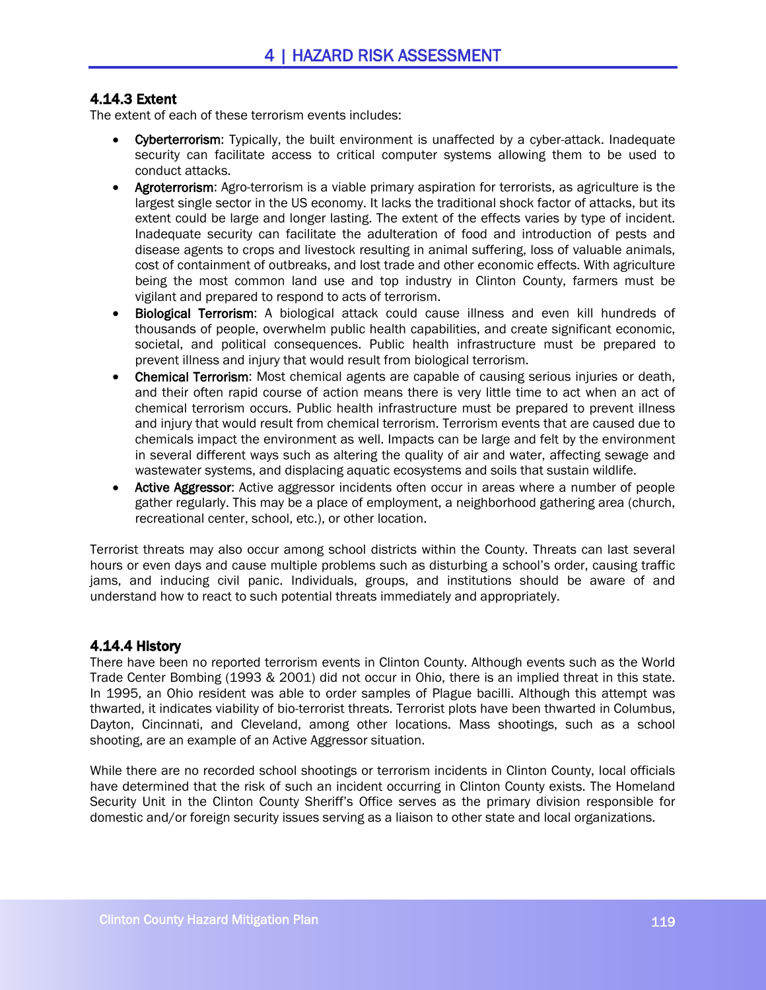# 4.14.3 Extent

The extent of each of these terrorism events includes:

- Cyberterrorism: Typically, the built environment is unaffected by a cyber-attack. Inadequate security can facilitate access to critical computer systems allowing them to be used to conduct attacks.
- Agroterrorism: Agro-terrorism is a viable primary aspiration for terrorists, as agriculture is the largest single sector in the US economy. It lacks the traditional shock factor of attacks, but its extent could be large and longer lasting. The extent of the effects varies by type of incident. Inadequate security can facilitate the adulteration of food and introduction of pests and disease agents to crops and livestock resulting in animal suffering, loss of valuable animals, cost of containment of outbreaks, and lost trade and other economic effects. With agriculture being the most common land use and top industry in Clinton County, farmers must be vigilant and prepared to respond to acts of terrorism.
- Biological Terrorism: A biological attack could cause illness and even kill hundreds of thousands of people, overwhelm public health capabilities, and create significant economic, societal, and political consequences. Public health infrastructure must be prepared to prevent illness and injury that would result from biological terrorism.
- Chemical Terrorism: Most chemical agents are capable of causing serious injuries or death, and their often rapid course of action means there is very little time to act when an act of chemical terrorism occurs. Public health infrastructure must be prepared to prevent illness and injury that would result from chemical terrorism. Terrorism events that are caused due to chemicals impact the environment as well. Impacts can be large and felt by the environment in several different ways such as altering the quality of air and water, affecting sewage and wastewater systems, and displacing aquatic ecosystems and soils that sustain wildlife.
- Active Aggressor: Active aggressor incidents often occur in areas where a number of people gather regularly. This may be a place of employment, a neighborhood gathering area (church, recreational center, school, etc.), or other location.

Terrorist threats may also occur among school districts within the County. Threats can last several hours or even days and cause multiple problems such as disturbing a school's order, causing traffic jams, and inducing civil panic. Individuals, groups, and institutions should be aware of and understand how to react to such potential threats immediately and appropriately.

# 4.14.4 History

There have been no reported terrorism events in Clinton County. Although events such as the World Trade Center Bombing (1993 & 2001) did not occur in Ohio, there is an implied threat in this state. In 1995, an Ohio resident was able to order samples of Plague bacilli. Although this attempt was thwarted, it indicates viability of bio-terrorist threats. Terrorist plots have been thwarted in Columbus, Dayton, Cincinnati, and Cleveland, among other locations. Mass shootings, such as a school shooting, are an example of an Active Aggressor situation.

While there are no recorded school shootings or terrorism incidents in Clinton County, local officials have determined that the risk of such an incident occurring in Clinton County exists. The Homeland Security Unit in the Clinton County Sheriff's Office serves as the primary division responsible for domestic and/or foreign security issues serving as a liaison to other state and local organizations.